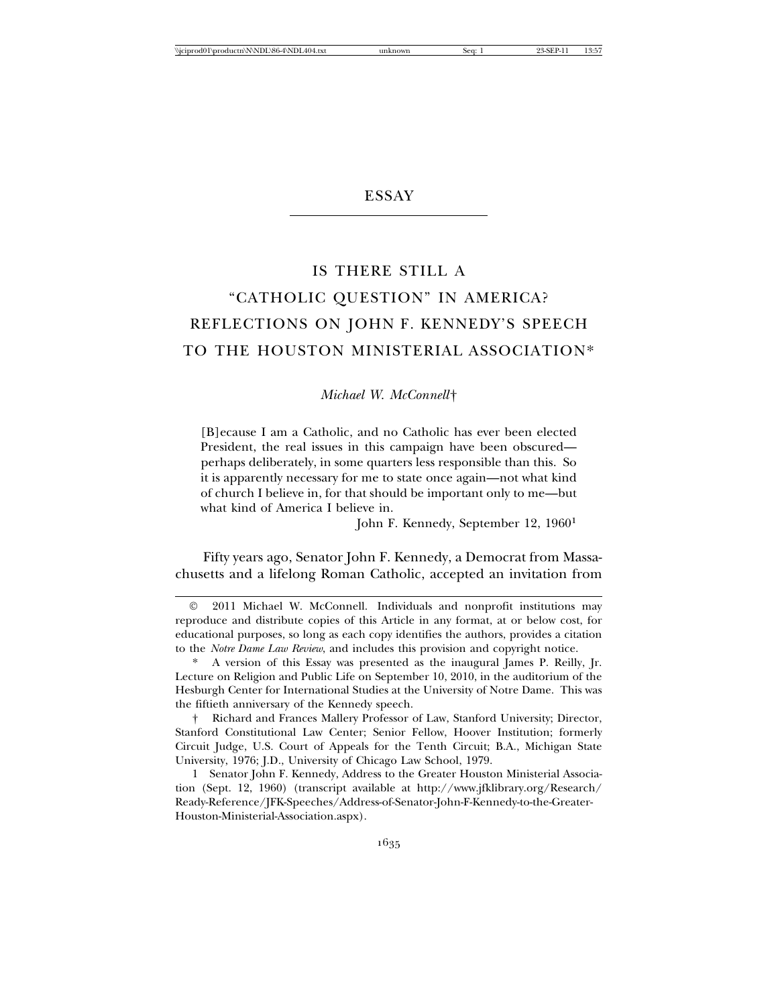## **ESSAY**

## IS THERE STILL A "CATHOLIC QUESTION" IN AMERICA? REFLECTIONS ON JOHN F. KENNEDY'S SPEECH TO THE HOUSTON MINISTERIAL ASSOCIATION\*

*Michael W. McConnell*†

[B]ecause I am a Catholic, and no Catholic has ever been elected President, the real issues in this campaign have been obscured perhaps deliberately, in some quarters less responsible than this. So it is apparently necessary for me to state once again—not what kind of church I believe in, for that should be important only to me—but what kind of America I believe in.

John F. Kennedy, September 12, 19601

Fifty years ago, Senator John F. Kennedy, a Democrat from Massachusetts and a lifelong Roman Catholic, accepted an invitation from

2011 Michael W. McConnell. Individuals and nonprofit institutions may reproduce and distribute copies of this Article in any format, at or below cost, for educational purposes, so long as each copy identifies the authors, provides a citation to the *Notre Dame Law Review*, and includes this provision and copyright notice.

<sup>\*</sup> A version of this Essay was presented as the inaugural James P. Reilly, Jr. Lecture on Religion and Public Life on September 10, 2010, in the auditorium of the Hesburgh Center for International Studies at the University of Notre Dame. This was the fiftieth anniversary of the Kennedy speech.

<sup>†</sup> Richard and Frances Mallery Professor of Law, Stanford University; Director, Stanford Constitutional Law Center; Senior Fellow, Hoover Institution; formerly Circuit Judge, U.S. Court of Appeals for the Tenth Circuit; B.A., Michigan State University, 1976; J.D., University of Chicago Law School, 1979.

<sup>1</sup> Senator John F. Kennedy, Address to the Greater Houston Ministerial Association (Sept. 12, 1960) (transcript available at http://www.jfklibrary.org/Research/ Ready-Reference/JFK-Speeches/Address-of-Senator-John-F-Kennedy-to-the-Greater-Houston-Ministerial-Association.aspx).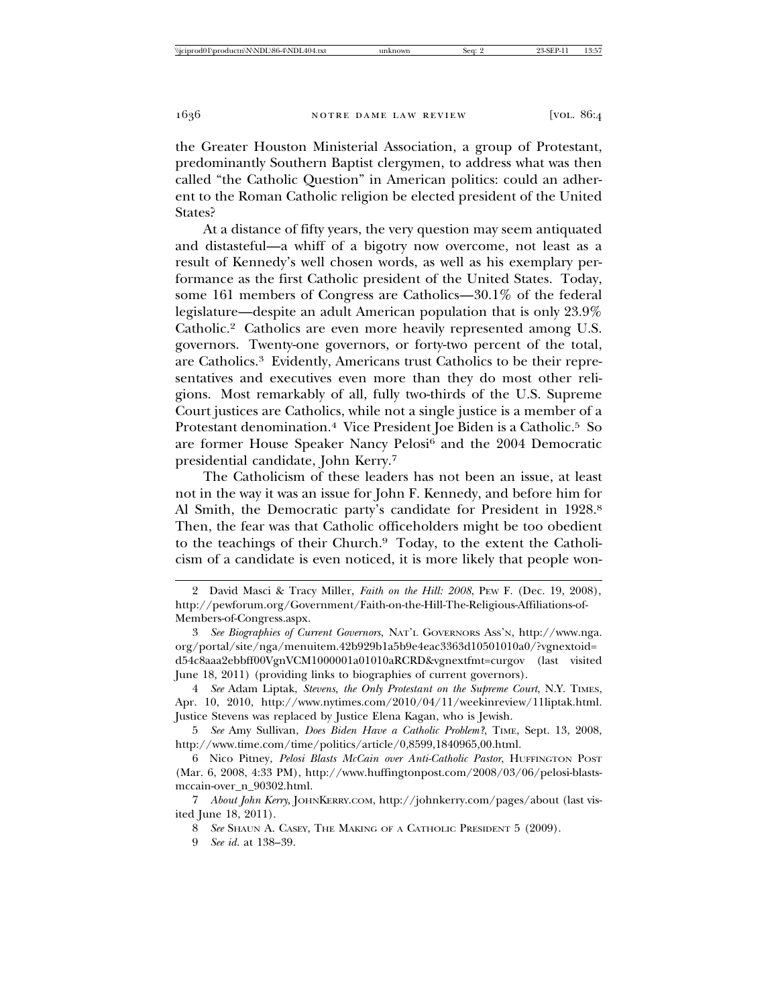the Greater Houston Ministerial Association, a group of Protestant, predominantly Southern Baptist clergymen, to address what was then called "the Catholic Question" in American politics: could an adherent to the Roman Catholic religion be elected president of the United States?

At a distance of fifty years, the very question may seem antiquated and distasteful—a whiff of a bigotry now overcome, not least as a result of Kennedy's well chosen words, as well as his exemplary performance as the first Catholic president of the United States. Today, some 161 members of Congress are Catholics—30.1% of the federal legislature—despite an adult American population that is only 23.9% Catholic.2 Catholics are even more heavily represented among U.S. governors. Twenty-one governors, or forty-two percent of the total, are Catholics.3 Evidently, Americans trust Catholics to be their representatives and executives even more than they do most other religions. Most remarkably of all, fully two-thirds of the U.S. Supreme Court justices are Catholics, while not a single justice is a member of a Protestant denomination.4 Vice President Joe Biden is a Catholic.5 So are former House Speaker Nancy Pelosi<sup>6</sup> and the 2004 Democratic presidential candidate, John Kerry.7

The Catholicism of these leaders has not been an issue, at least not in the way it was an issue for John F. Kennedy, and before him for Al Smith, the Democratic party's candidate for President in 1928.<sup>8</sup> Then, the fear was that Catholic officeholders might be too obedient to the teachings of their Church.9 Today, to the extent the Catholicism of a candidate is even noticed, it is more likely that people won-

<sup>2</sup> David Masci & Tracy Miller, *Faith on the Hill: 2008*, PEW F. (Dec. 19, 2008), http://pewforum.org/Government/Faith-on-the-Hill-The-Religious-Affiliations-of-Members-of-Congress.aspx.

<sup>3</sup> *See Biographies of Current Governors*, NAT'L GOVERNORS ASS'N, http://www.nga. org/portal/site/nga/menuitem.42b929b1a5b9e4eac3363d10501010a0/?vgnextoid= d54c8aaa2ebbff00VgnVCM1000001a01010aRCRD&vgnextfmt=curgov (last visited June 18, 2011) (providing links to biographies of current governors).

<sup>4</sup> *See* Adam Liptak, *Stevens, the Only Protestant on the Supreme Court*, N.Y. TIMES, Apr. 10, 2010, http://www.nytimes.com/2010/04/11/weekinreview/11liptak.html. Justice Stevens was replaced by Justice Elena Kagan, who is Jewish.

<sup>5</sup> *See* Amy Sullivan, *Does Biden Have a Catholic Problem?*, TIME, Sept. 13, 2008, http://www.time.com/time/politics/article/0,8599,1840965,00.html.

<sup>6</sup> Nico Pitney, *Pelosi Blasts McCain over Anti-Catholic Pastor*, HUFFINGTON POST (Mar. 6, 2008, 4:33 PM), http://www.huffingtonpost.com/2008/03/06/pelosi-blastsmccain-over\_n\_90302.html.

<sup>7</sup> *About John Kerry*, JOHNKERRY.COM, http://johnkerry.com/pages/about (last visited June 18, 2011).

<sup>8</sup> *See* SHAUN A. CASEY, THE MAKING OF A CATHOLIC PRESIDENT 5 (2009).

<sup>9</sup> *See id.* at 138–39.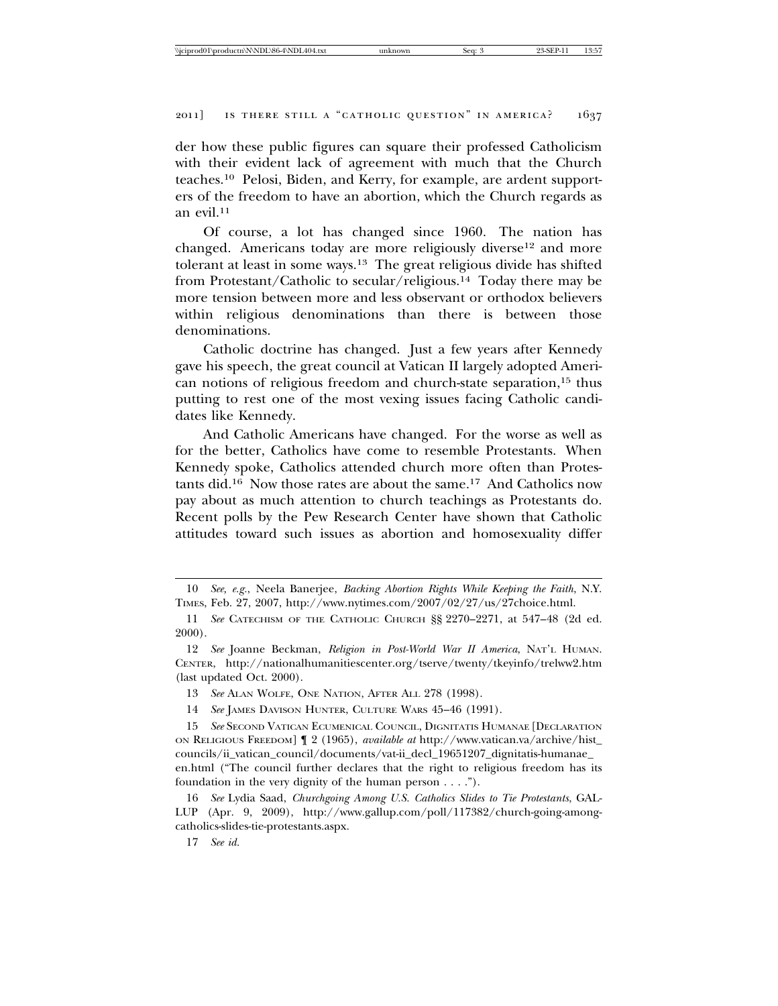der how these public figures can square their professed Catholicism with their evident lack of agreement with much that the Church teaches.10 Pelosi, Biden, and Kerry, for example, are ardent supporters of the freedom to have an abortion, which the Church regards as an evil.11

Of course, a lot has changed since 1960. The nation has changed. Americans today are more religiously diverse<sup>12</sup> and more tolerant at least in some ways.13 The great religious divide has shifted from Protestant/Catholic to secular/religious.14 Today there may be more tension between more and less observant or orthodox believers within religious denominations than there is between those denominations.

Catholic doctrine has changed. Just a few years after Kennedy gave his speech, the great council at Vatican II largely adopted American notions of religious freedom and church-state separation,15 thus putting to rest one of the most vexing issues facing Catholic candidates like Kennedy.

And Catholic Americans have changed. For the worse as well as for the better, Catholics have come to resemble Protestants. When Kennedy spoke, Catholics attended church more often than Protestants did.16 Now those rates are about the same.17 And Catholics now pay about as much attention to church teachings as Protestants do. Recent polls by the Pew Research Center have shown that Catholic attitudes toward such issues as abortion and homosexuality differ

<sup>10</sup> *See, e.g.*, Neela Banerjee, *Backing Abortion Rights While Keeping the Faith*, N.Y. TIMES, Feb. 27, 2007, http://www.nytimes.com/2007/02/27/us/27choice.html.

<sup>11</sup> *See* CATECHISM OF THE CATHOLIC CHURCH §§ 2270–2271, at 547–48 (2d ed. 2000).

<sup>12</sup> *See* Joanne Beckman, *Religion in Post-World War II America*, NAT'L HUMAN. CENTER, http://nationalhumanitiescenter.org/tserve/twenty/tkeyinfo/trelww2.htm (last updated Oct. 2000).

<sup>13</sup> *See* ALAN WOLFE, ONE NATION, AFTER ALL 278 (1998).

<sup>14</sup> *See* JAMES DAVISON HUNTER, CULTURE WARS 45–46 (1991).

<sup>15</sup> *See* SECOND VATICAN ECUMENICAL COUNCIL, DIGNITATIS HUMANAE [DECLARATION ON RELIGIOUS FREEDOM] ¶ 2 (1965), *available at* http://www.vatican.va/archive/hist\_ councils/ii\_vatican\_council/documents/vat-ii\_decl\_19651207\_dignitatis-humanae\_ en.html ("The council further declares that the right to religious freedom has its foundation in the very dignity of the human person . . . .").

<sup>16</sup> *See* Lydia Saad, *Churchgoing Among U.S. Catholics Slides to Tie Protestants*, GAL-LUP (Apr. 9, 2009), http://www.gallup.com/poll/117382/church-going-amongcatholics-slides-tie-protestants.aspx.

<sup>17</sup> *See id.*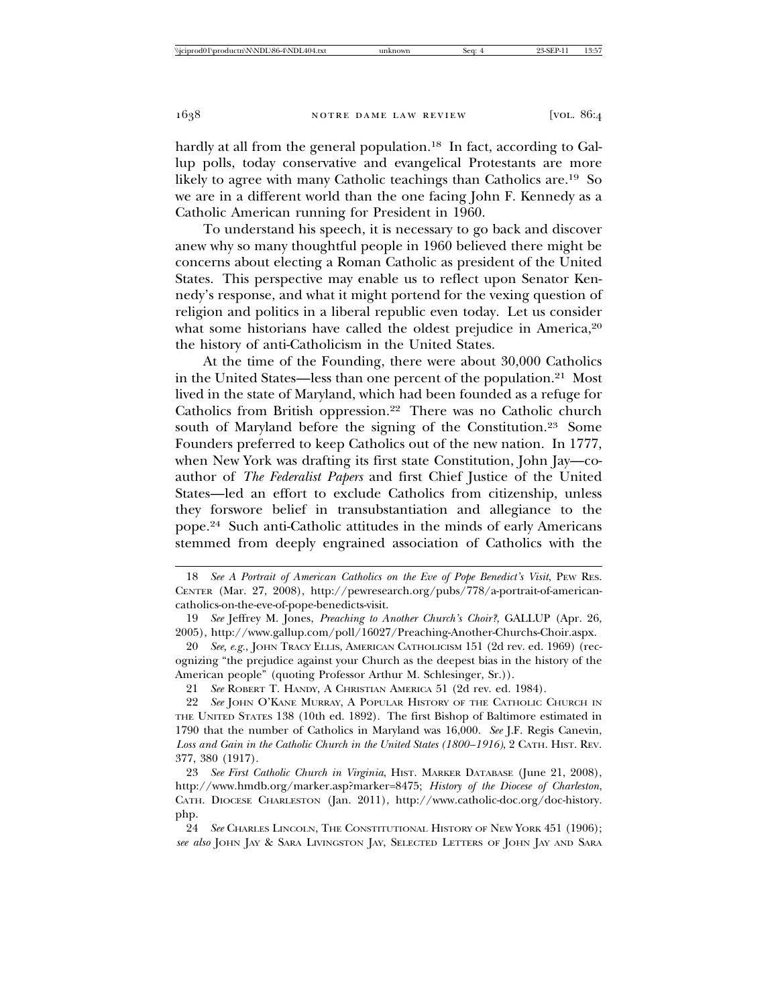hardly at all from the general population.<sup>18</sup> In fact, according to Gallup polls, today conservative and evangelical Protestants are more likely to agree with many Catholic teachings than Catholics are.19 So we are in a different world than the one facing John F. Kennedy as a Catholic American running for President in 1960.

To understand his speech, it is necessary to go back and discover anew why so many thoughtful people in 1960 believed there might be concerns about electing a Roman Catholic as president of the United States. This perspective may enable us to reflect upon Senator Kennedy's response, and what it might portend for the vexing question of religion and politics in a liberal republic even today. Let us consider what some historians have called the oldest prejudice in America,<sup>20</sup> the history of anti-Catholicism in the United States.

At the time of the Founding, there were about 30,000 Catholics in the United States—less than one percent of the population.21 Most lived in the state of Maryland, which had been founded as a refuge for Catholics from British oppression.22 There was no Catholic church south of Maryland before the signing of the Constitution.<sup>23</sup> Some Founders preferred to keep Catholics out of the new nation. In 1777, when New York was drafting its first state Constitution, John Jay—coauthor of *The Federalist Papers* and first Chief Justice of the United States—led an effort to exclude Catholics from citizenship, unless they forswore belief in transubstantiation and allegiance to the pope.24 Such anti-Catholic attitudes in the minds of early Americans stemmed from deeply engrained association of Catholics with the

21 *See* ROBERT T. HANDY, A CHRISTIAN AMERICA 51 (2d rev. ed. 1984).

<sup>18</sup> *See A Portrait of American Catholics on the Eve of Pope Benedict's Visit*, PEW RES. CENTER (Mar. 27, 2008), http://pewresearch.org/pubs/778/a-portrait-of-americancatholics-on-the-eve-of-pope-benedicts-visit.

<sup>19</sup> *See* Jeffrey M. Jones, *Preaching to Another Church's Choir?*, GALLUP (Apr. 26, 2005), http://www.gallup.com/poll/16027/Preaching-Another-Churchs-Choir.aspx.

<sup>20</sup> *See, e.g.*, JOHN TRACY ELLIS, AMERICAN CATHOLICISM 151 (2d rev. ed. 1969) (recognizing "the prejudice against your Church as the deepest bias in the history of the American people" (quoting Professor Arthur M. Schlesinger, Sr.)).

<sup>22</sup> *See* JOHN O'KANE MURRAY, A POPULAR HISTORY OF THE CATHOLIC CHURCH IN THE UNITED STATES 138 (10th ed. 1892). The first Bishop of Baltimore estimated in 1790 that the number of Catholics in Maryland was 16,000. *See* J.F. Regis Canevin, *Loss and Gain in the Catholic Church in the United States (1800–1916)*, 2 CATH. HIST. REV. 377, 380 (1917).

<sup>23</sup> *See First Catholic Church in Virginia*, HIST. MARKER DATABASE (June 21, 2008), http://www.hmdb.org/marker.asp?marker=8475; *History of the Diocese of Charleston*, CATH. DIOCESE CHARLESTON (Jan. 2011), http://www.catholic-doc.org/doc-history. php.

<sup>24</sup> *See* CHARLES LINCOLN, THE CONSTITUTIONAL HISTORY OF NEW YORK 451 (1906); *see also* JOHN JAY & SARA LIVINGSTON JAY, SELECTED LETTERS OF JOHN JAY AND SARA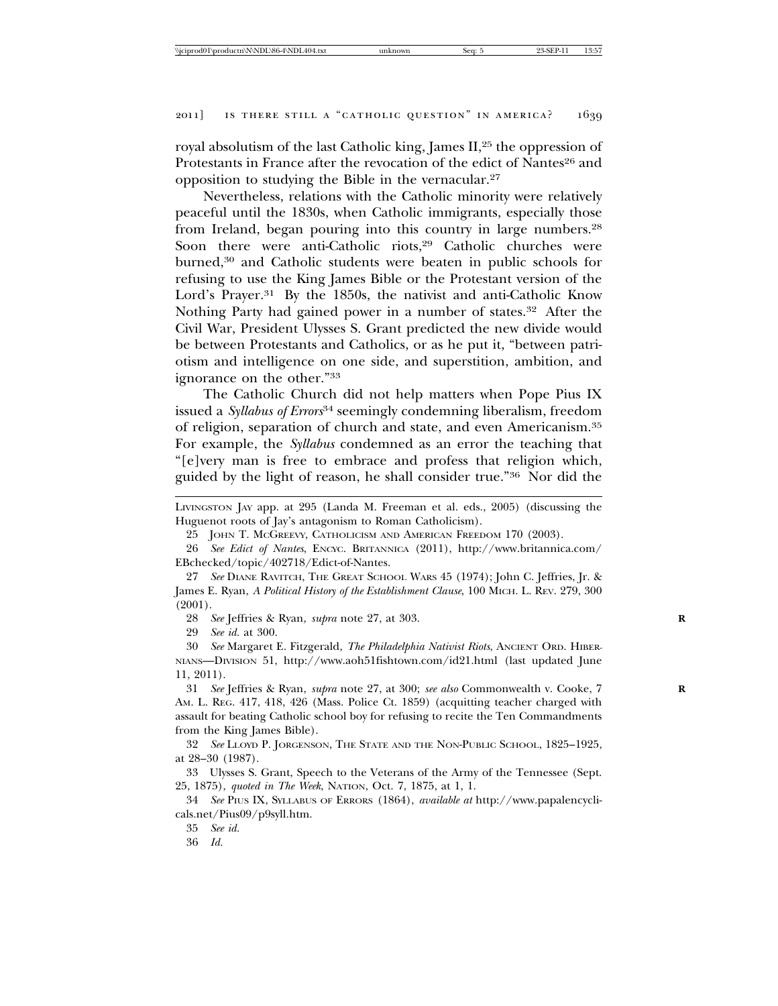royal absolutism of the last Catholic king, James II,25 the oppression of Protestants in France after the revocation of the edict of Nantes<sup>26</sup> and opposition to studying the Bible in the vernacular.27

Nevertheless, relations with the Catholic minority were relatively peaceful until the 1830s, when Catholic immigrants, especially those from Ireland, began pouring into this country in large numbers.28 Soon there were anti-Catholic riots,<sup>29</sup> Catholic churches were burned,<sup>30</sup> and Catholic students were beaten in public schools for refusing to use the King James Bible or the Protestant version of the Lord's Prayer.<sup>31</sup> By the 1850s, the nativist and anti-Catholic Know Nothing Party had gained power in a number of states.32 After the Civil War, President Ulysses S. Grant predicted the new divide would be between Protestants and Catholics, or as he put it, "between patriotism and intelligence on one side, and superstition, ambition, and ignorance on the other."33

The Catholic Church did not help matters when Pope Pius IX issued a *Syllabus of Errors*34 seemingly condemning liberalism, freedom of religion, separation of church and state, and even Americanism.35 For example, the *Syllabus* condemned as an error the teaching that "[e]very man is free to embrace and profess that religion which, guided by the light of reason, he shall consider true."36 Nor did the

28 *See* Jeffries & Ryan, *supra* note 27, at 303. **R**

29 *See id.* at 300.

30 *See* Margaret E. Fitzgerald, *The Philadelphia Nativist Riots*, ANCIENT ORD. HIBER-NIANS—DIVISION 51, http://www.aoh51fishtown.com/id21.html (last updated June 11, 2011).

31 *See* Jeffries & Ryan, *supra* note 27, at 300; *see also* Commonwealth v. Cooke, 7 **R** AM. L. REG. 417, 418, 426 (Mass. Police Ct. 1859) (acquitting teacher charged with assault for beating Catholic school boy for refusing to recite the Ten Commandments from the King James Bible).

32 *See* LLOYD P. JORGENSON, THE STATE AND THE NON-PUBLIC SCHOOL, 1825–1925, at 28–30 (1987).

33 Ulysses S. Grant, Speech to the Veterans of the Army of the Tennessee (Sept. 25, 1875), *quoted in The Week*, NATION, Oct. 7, 1875, at 1, 1.

34 *See* PIUS IX, SYLLABUS OF ERRORS (1864), *available at* http://www.papalencyclicals.net/Pius09/p9syll.htm.

35 *See id.*

36 *Id.*

LIVINGSTON JAY app. at 295 (Landa M. Freeman et al. eds., 2005) (discussing the Huguenot roots of Jay's antagonism to Roman Catholicism).

<sup>25</sup> JOHN T. MCGREEVY, CATHOLICISM AND AMERICAN FREEDOM 170 (2003).

<sup>26</sup> *See Edict of Nantes*, ENCYC. BRITANNICA (2011), http://www.britannica.com/ EBchecked/topic/402718/Edict-of-Nantes.

<sup>27</sup> *See* DIANE RAVITCH, THE GREAT SCHOOL WARS 45 (1974); John C. Jeffries, Jr. & James E. Ryan, *A Political History of the Establishment Clause*, 100 MICH. L. REV. 279, 300 (2001).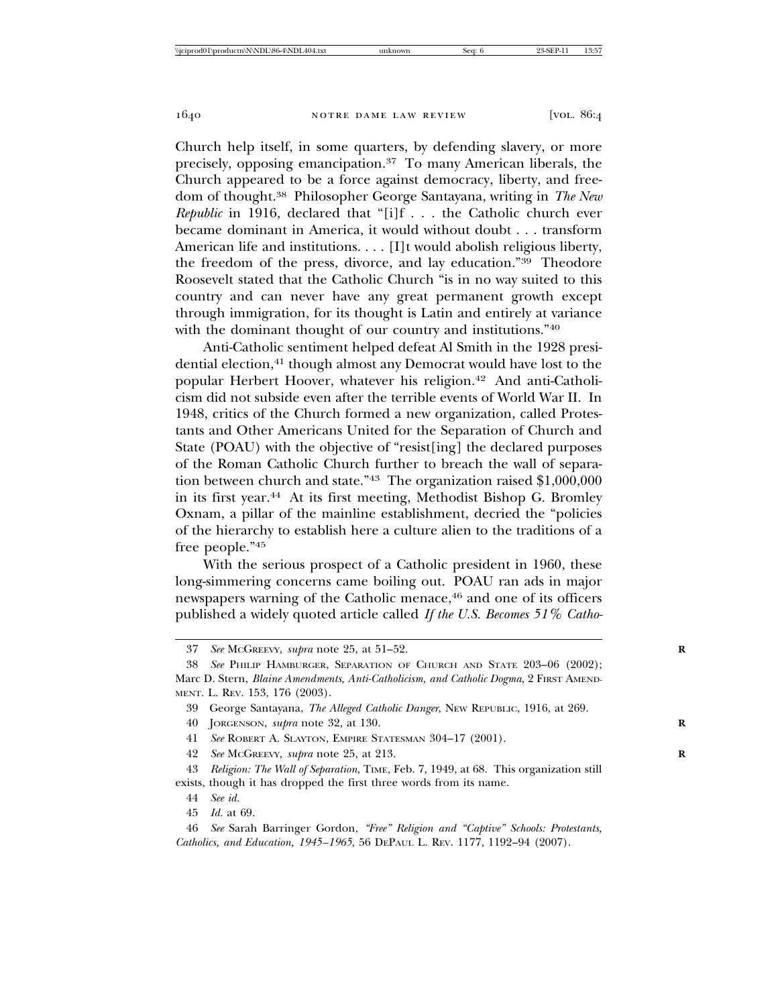Church help itself, in some quarters, by defending slavery, or more precisely, opposing emancipation.37 To many American liberals, the Church appeared to be a force against democracy, liberty, and freedom of thought.38 Philosopher George Santayana, writing in *The New Republic* in 1916, declared that "[i]f . . . the Catholic church ever became dominant in America, it would without doubt . . . transform American life and institutions. . . . [I]t would abolish religious liberty, the freedom of the press, divorce, and lay education."39 Theodore Roosevelt stated that the Catholic Church "is in no way suited to this country and can never have any great permanent growth except through immigration, for its thought is Latin and entirely at variance with the dominant thought of our country and institutions."40

Anti-Catholic sentiment helped defeat Al Smith in the 1928 presidential election,<sup>41</sup> though almost any Democrat would have lost to the popular Herbert Hoover, whatever his religion.42 And anti-Catholicism did not subside even after the terrible events of World War II. In 1948, critics of the Church formed a new organization, called Protestants and Other Americans United for the Separation of Church and State (POAU) with the objective of "resist[ing] the declared purposes of the Roman Catholic Church further to breach the wall of separation between church and state."43 The organization raised \$1,000,000 in its first year.44 At its first meeting, Methodist Bishop G. Bromley Oxnam, a pillar of the mainline establishment, decried the "policies of the hierarchy to establish here a culture alien to the traditions of a free people."45

With the serious prospect of a Catholic president in 1960, these long-simmering concerns came boiling out. POAU ran ads in major newspapers warning of the Catholic menace,<sup>46</sup> and one of its officers published a widely quoted article called *If the U.S. Becomes 51% Catho-*

<sup>37</sup> *See* MCGREEVY, *supra* note 25, at 51–52. **R**

<sup>38</sup> *See* PHILIP HAMBURGER, SEPARATION OF CHURCH AND STATE 203–06 (2002); Marc D. Stern, *Blaine Amendments, Anti-Catholicism, and Catholic Dogma*, 2 FIRST AMEND-MENT. L. REV. 153, 176 (2003).

<sup>39</sup> George Santayana, *The Alleged Catholic Danger*, NEW REPUBLIC, 1916, at 269.

<sup>40</sup> JORGENSON, *supra* note 32, at 130. **R**

<sup>41</sup> *See* ROBERT A. SLAYTON, EMPIRE STATESMAN 304–17 (2001).

<sup>42</sup> *See* MCGREEVY, *supra* note 25, at 213. **R**

<sup>43</sup> *Religion: The Wall of Separation*, TIME, Feb. 7, 1949, at 68. This organization still exists, though it has dropped the first three words from its name.

<sup>44</sup> *See id.*

<sup>45</sup> *Id.* at 69.

<sup>46</sup> *See* Sarah Barringer Gordon, *"Free" Religion and "Captive" Schools: Protestants, Catholics, and Education, 1945–1965*, 56 DEPAUL L. REV. 1177, 1192–94 (2007).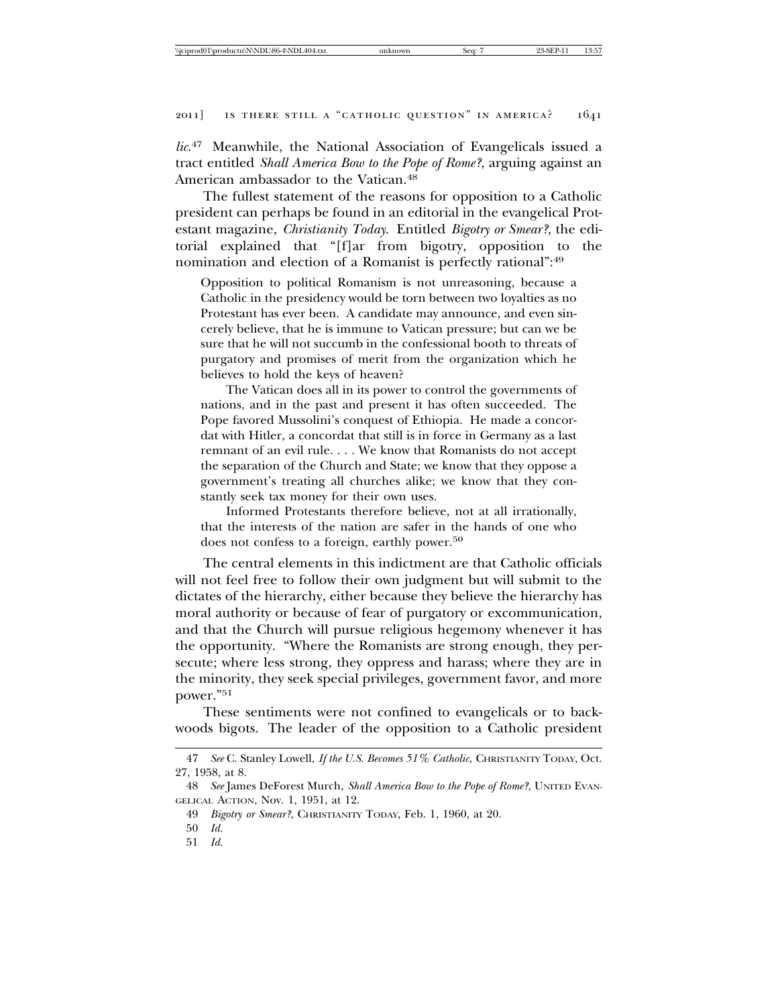*lic*. 47 Meanwhile, the National Association of Evangelicals issued a tract entitled *Shall America Bow to the Pope of Rome?*, arguing against an American ambassador to the Vatican.48

The fullest statement of the reasons for opposition to a Catholic president can perhaps be found in an editorial in the evangelical Protestant magazine, *Christianity Today*. Entitled *Bigotry or Smear?*, the editorial explained that "[f]ar from bigotry, opposition to the nomination and election of a Romanist is perfectly rational":49

Opposition to political Romanism is not unreasoning, because a Catholic in the presidency would be torn between two loyalties as no Protestant has ever been. A candidate may announce, and even sincerely believe, that he is immune to Vatican pressure; but can we be sure that he will not succumb in the confessional booth to threats of purgatory and promises of merit from the organization which he believes to hold the keys of heaven?

The Vatican does all in its power to control the governments of nations, and in the past and present it has often succeeded. The Pope favored Mussolini's conquest of Ethiopia. He made a concordat with Hitler, a concordat that still is in force in Germany as a last remnant of an evil rule. . . . We know that Romanists do not accept the separation of the Church and State; we know that they oppose a government's treating all churches alike; we know that they constantly seek tax money for their own uses.

Informed Protestants therefore believe, not at all irrationally, that the interests of the nation are safer in the hands of one who does not confess to a foreign, earthly power.<sup>50</sup>

The central elements in this indictment are that Catholic officials will not feel free to follow their own judgment but will submit to the dictates of the hierarchy, either because they believe the hierarchy has moral authority or because of fear of purgatory or excommunication, and that the Church will pursue religious hegemony whenever it has the opportunity. "Where the Romanists are strong enough, they persecute; where less strong, they oppress and harass; where they are in the minority, they seek special privileges, government favor, and more power."51

These sentiments were not confined to evangelicals or to backwoods bigots. The leader of the opposition to a Catholic president

<sup>47</sup> *See* C. Stanley Lowell, *If the U.S. Becomes 51% Catholic*, CHRISTIANITY TODAY, Oct. 27, 1958, at 8.

<sup>48</sup> *See* James DeForest Murch, *Shall America Bow to the Pope of Rome?*, UNITED EVAN-GELICAL ACTION, Nov. 1, 1951, at 12.

<sup>49</sup> *Bigotry or Smear?*, CHRISTIANITY TODAY, Feb. 1, 1960, at 20.

<sup>50</sup> *Id.*

<sup>51</sup> *Id.*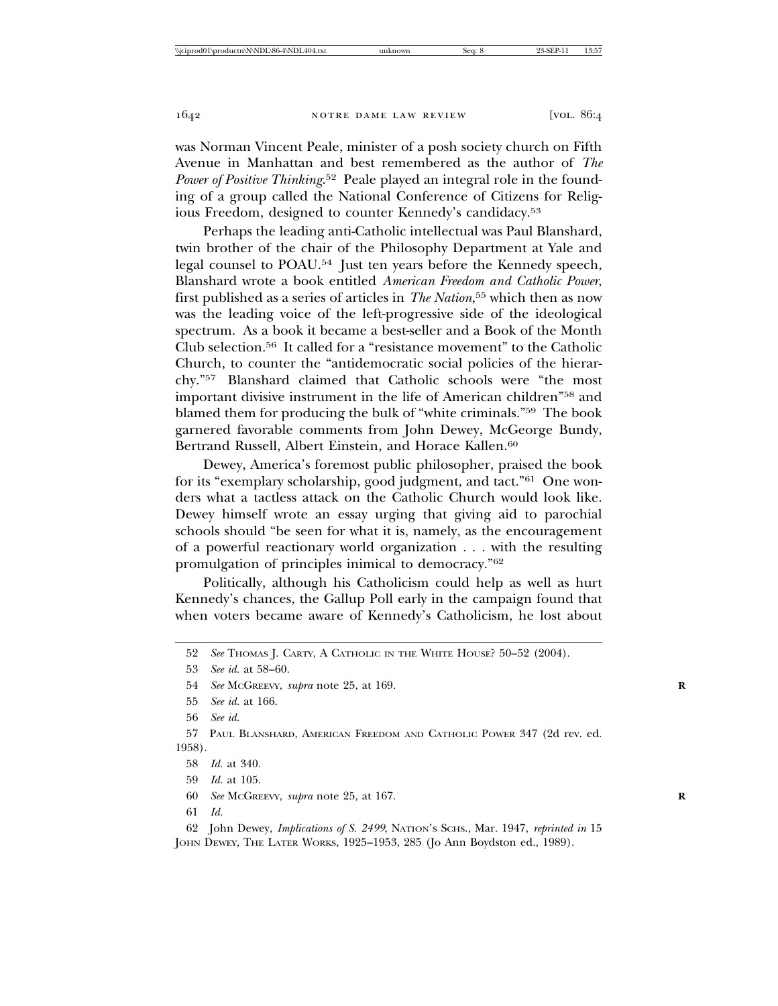was Norman Vincent Peale, minister of a posh society church on Fifth Avenue in Manhattan and best remembered as the author of *The Power of Positive Thinking*. 52 Peale played an integral role in the founding of a group called the National Conference of Citizens for Religious Freedom, designed to counter Kennedy's candidacy.53

Perhaps the leading anti-Catholic intellectual was Paul Blanshard, twin brother of the chair of the Philosophy Department at Yale and legal counsel to POAU.54 Just ten years before the Kennedy speech, Blanshard wrote a book entitled *American Freedom and Catholic Power*, first published as a series of articles in *The Nation*, 55 which then as now was the leading voice of the left-progressive side of the ideological spectrum. As a book it became a best-seller and a Book of the Month Club selection.56 It called for a "resistance movement" to the Catholic Church, to counter the "antidemocratic social policies of the hierarchy."57 Blanshard claimed that Catholic schools were "the most important divisive instrument in the life of American children"58 and blamed them for producing the bulk of "white criminals."59 The book garnered favorable comments from John Dewey, McGeorge Bundy, Bertrand Russell, Albert Einstein, and Horace Kallen.<sup>60</sup>

Dewey, America's foremost public philosopher, praised the book for its "exemplary scholarship, good judgment, and tact."61 One wonders what a tactless attack on the Catholic Church would look like. Dewey himself wrote an essay urging that giving aid to parochial schools should "be seen for what it is, namely, as the encouragement of a powerful reactionary world organization . . . with the resulting promulgation of principles inimical to democracy."62

Politically, although his Catholicism could help as well as hurt Kennedy's chances, the Gallup Poll early in the campaign found that when voters became aware of Kennedy's Catholicism, he lost about

57 PAUL BLANSHARD, AMERICAN FREEDOM AND CATHOLIC POWER 347 (2d rev. ed. 1958).

62 John Dewey, *Implications of S. 2499*, NATION'S SCHS., Mar. 1947, *reprinted in* 15 JOHN DEWEY, THE LATER WORKS, 1925–1953, 285 (Jo Ann Boydston ed., 1989).

<sup>52</sup> *See* THOMAS J. CARTY, A CATHOLIC IN THE WHITE HOUSE? 50–52 (2004).

<sup>53</sup> *See id.* at 58–60.

<sup>54</sup> *See* MCGREEVY, *supra* note 25, at 169. **R**

<sup>55</sup> *See id.* at 166.

<sup>56</sup> *See id.*

<sup>58</sup> *Id.* at 340.

<sup>59</sup> *Id.* at 105.

<sup>60</sup> *See* MCGREEVY, *supra* note 25, at 167. **R**

<sup>61</sup> *Id.*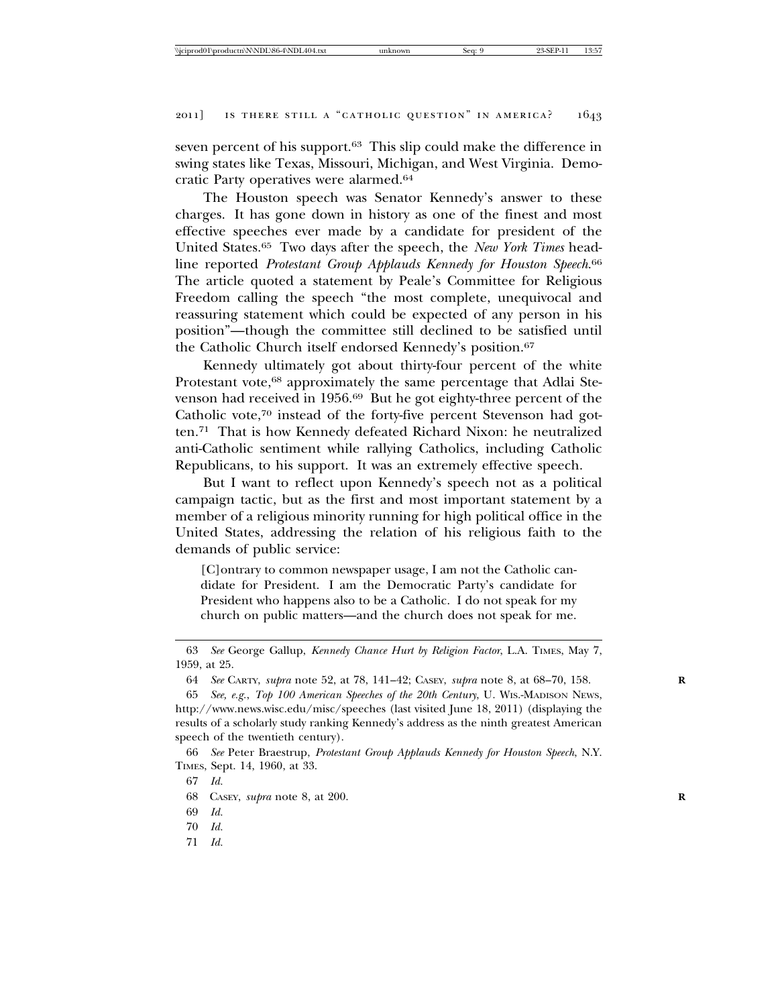seven percent of his support.63 This slip could make the difference in swing states like Texas, Missouri, Michigan, and West Virginia. Democratic Party operatives were alarmed.64

The Houston speech was Senator Kennedy's answer to these charges. It has gone down in history as one of the finest and most effective speeches ever made by a candidate for president of the United States.65 Two days after the speech, the *New York Times* headline reported *Protestant Group Applauds Kennedy for Houston Speech*. 66 The article quoted a statement by Peale's Committee for Religious Freedom calling the speech "the most complete, unequivocal and reassuring statement which could be expected of any person in his position"—though the committee still declined to be satisfied until the Catholic Church itself endorsed Kennedy's position.<sup>67</sup>

Kennedy ultimately got about thirty-four percent of the white Protestant vote,<sup>68</sup> approximately the same percentage that Adlai Stevenson had received in 1956.69 But he got eighty-three percent of the Catholic vote,<sup>70</sup> instead of the forty-five percent Stevenson had gotten.71 That is how Kennedy defeated Richard Nixon: he neutralized anti-Catholic sentiment while rallying Catholics, including Catholic Republicans, to his support. It was an extremely effective speech.

But I want to reflect upon Kennedy's speech not as a political campaign tactic, but as the first and most important statement by a member of a religious minority running for high political office in the United States, addressing the relation of his religious faith to the demands of public service:

[C]ontrary to common newspaper usage, I am not the Catholic candidate for President. I am the Democratic Party's candidate for President who happens also to be a Catholic. I do not speak for my church on public matters—and the church does not speak for me.

71 *Id.*

<sup>63</sup> *See* George Gallup, *Kennedy Chance Hurt by Religion Factor*, L.A. TIMES, May 7, 1959, at 25.

<sup>64</sup> *See* CARTY, *supra* note 52, at 78, 141–42; CASEY, *supra* note 8, at 68–70, 158. **R**

<sup>65</sup> *See, e.g.*, *Top 100 American Speeches of the 20th Century*, U. WIS.-MADISON NEWS, http://www.news.wisc.edu/misc/speeches (last visited June 18, 2011) (displaying the results of a scholarly study ranking Kennedy's address as the ninth greatest American speech of the twentieth century).

<sup>66</sup> *See* Peter Braestrup, *Protestant Group Applauds Kennedy for Houston Speech*, N.Y. TIMES, Sept. 14, 1960, at 33.

<sup>67</sup> *Id.*

<sup>68</sup> CASEY, *supra* note 8, at 200. **R**

<sup>69</sup> *Id.*

<sup>70</sup> *Id.*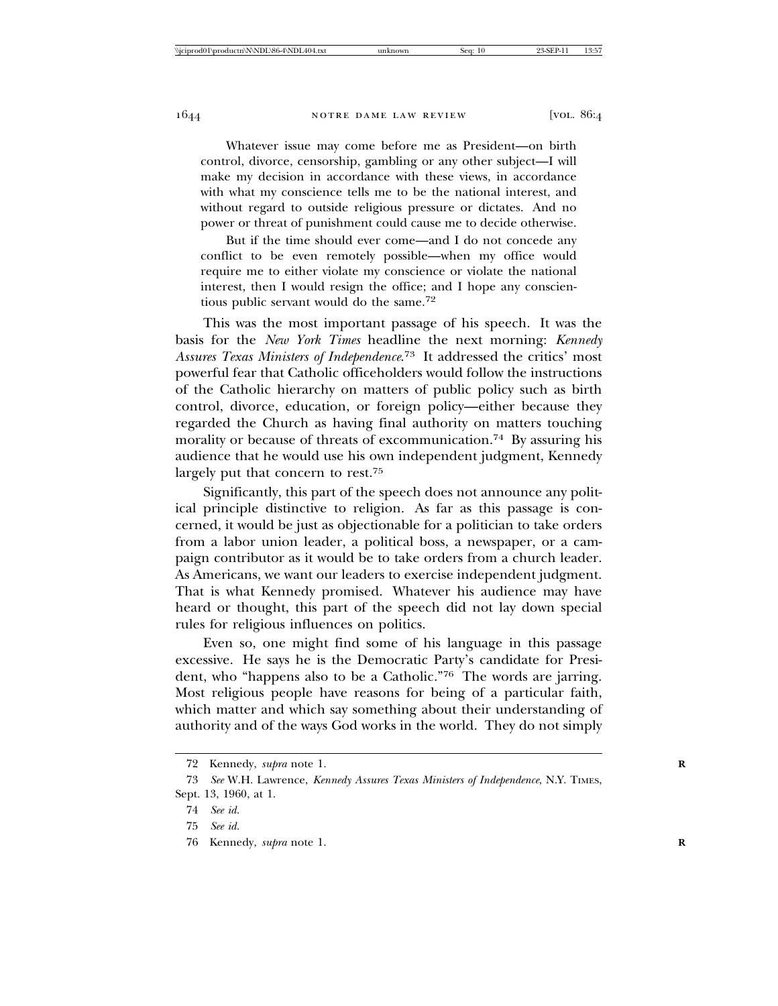Whatever issue may come before me as President—on birth control, divorce, censorship, gambling or any other subject—I will make my decision in accordance with these views, in accordance with what my conscience tells me to be the national interest, and without regard to outside religious pressure or dictates. And no power or threat of punishment could cause me to decide otherwise.

But if the time should ever come—and I do not concede any conflict to be even remotely possible—when my office would require me to either violate my conscience or violate the national interest, then I would resign the office; and I hope any conscientious public servant would do the same.72

This was the most important passage of his speech. It was the basis for the *New York Times* headline the next morning: *Kennedy Assures Texas Ministers of Independence*. 73 It addressed the critics' most powerful fear that Catholic officeholders would follow the instructions of the Catholic hierarchy on matters of public policy such as birth control, divorce, education, or foreign policy—either because they regarded the Church as having final authority on matters touching morality or because of threats of excommunication.74 By assuring his audience that he would use his own independent judgment, Kennedy largely put that concern to rest.75

Significantly, this part of the speech does not announce any political principle distinctive to religion. As far as this passage is concerned, it would be just as objectionable for a politician to take orders from a labor union leader, a political boss, a newspaper, or a campaign contributor as it would be to take orders from a church leader. As Americans, we want our leaders to exercise independent judgment. That is what Kennedy promised. Whatever his audience may have heard or thought, this part of the speech did not lay down special rules for religious influences on politics.

Even so, one might find some of his language in this passage excessive. He says he is the Democratic Party's candidate for President, who "happens also to be a Catholic."76 The words are jarring. Most religious people have reasons for being of a particular faith, which matter and which say something about their understanding of authority and of the ways God works in the world. They do not simply

<sup>72</sup> Kennedy, *supra* note 1. **R**

<sup>73</sup> *See* W.H. Lawrence, *Kennedy Assures Texas Ministers of Independence*, N.Y. TIMES, Sept. 13, 1960, at 1.

<sup>74</sup> *See id.*

<sup>75</sup> *See id.*

<sup>76</sup> Kennedy, *supra* note 1. **R**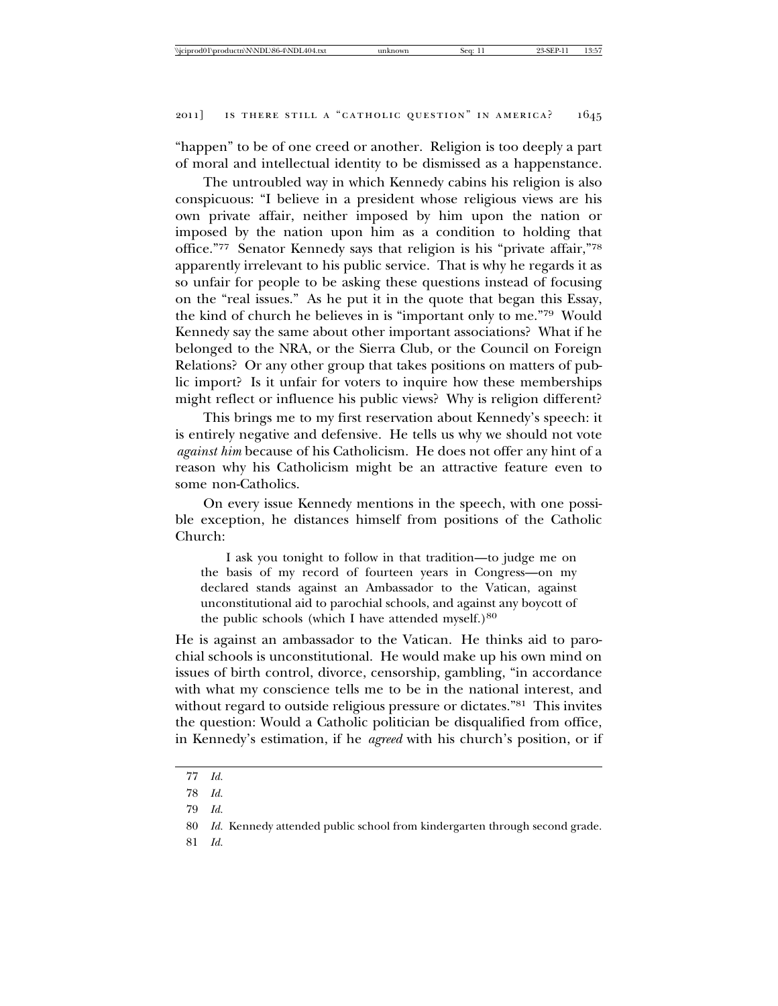"happen" to be of one creed or another. Religion is too deeply a part of moral and intellectual identity to be dismissed as a happenstance.

The untroubled way in which Kennedy cabins his religion is also conspicuous: "I believe in a president whose religious views are his own private affair, neither imposed by him upon the nation or imposed by the nation upon him as a condition to holding that office."77 Senator Kennedy says that religion is his "private affair,"78 apparently irrelevant to his public service. That is why he regards it as so unfair for people to be asking these questions instead of focusing on the "real issues." As he put it in the quote that began this Essay, the kind of church he believes in is "important only to me."79 Would Kennedy say the same about other important associations? What if he belonged to the NRA, or the Sierra Club, or the Council on Foreign Relations? Or any other group that takes positions on matters of public import? Is it unfair for voters to inquire how these memberships might reflect or influence his public views? Why is religion different?

This brings me to my first reservation about Kennedy's speech: it is entirely negative and defensive. He tells us why we should not vote *against him* because of his Catholicism. He does not offer any hint of a reason why his Catholicism might be an attractive feature even to some non-Catholics.

On every issue Kennedy mentions in the speech, with one possible exception, he distances himself from positions of the Catholic Church:

I ask you tonight to follow in that tradition—to judge me on the basis of my record of fourteen years in Congress—on my declared stands against an Ambassador to the Vatican, against unconstitutional aid to parochial schools, and against any boycott of the public schools (which I have attended myself.) $80$ 

He is against an ambassador to the Vatican. He thinks aid to parochial schools is unconstitutional. He would make up his own mind on issues of birth control, divorce, censorship, gambling, "in accordance with what my conscience tells me to be in the national interest, and without regard to outside religious pressure or dictates."<sup>81</sup> This invites the question: Would a Catholic politician be disqualified from office, in Kennedy's estimation, if he *agreed* with his church's position, or if

81 *Id.*

<sup>77</sup> *Id.*

<sup>78</sup> *Id.*

<sup>79</sup> *Id.*

<sup>80</sup> *Id.* Kennedy attended public school from kindergarten through second grade.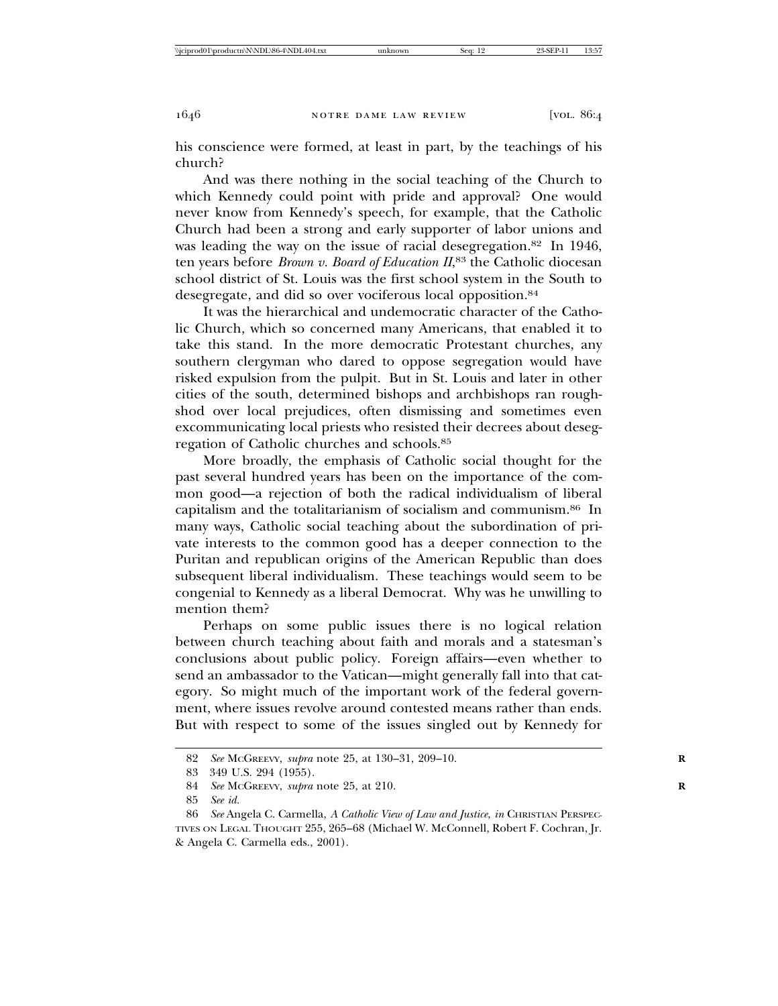his conscience were formed, at least in part, by the teachings of his church?

And was there nothing in the social teaching of the Church to which Kennedy could point with pride and approval? One would never know from Kennedy's speech, for example, that the Catholic Church had been a strong and early supporter of labor unions and was leading the way on the issue of racial desegregation.<sup>82</sup> In 1946, ten years before *Brown v. Board of Education II*, 83 the Catholic diocesan school district of St. Louis was the first school system in the South to desegregate, and did so over vociferous local opposition.84

It was the hierarchical and undemocratic character of the Catholic Church, which so concerned many Americans, that enabled it to take this stand. In the more democratic Protestant churches, any southern clergyman who dared to oppose segregation would have risked expulsion from the pulpit. But in St. Louis and later in other cities of the south, determined bishops and archbishops ran roughshod over local prejudices, often dismissing and sometimes even excommunicating local priests who resisted their decrees about desegregation of Catholic churches and schools.85

More broadly, the emphasis of Catholic social thought for the past several hundred years has been on the importance of the common good—a rejection of both the radical individualism of liberal capitalism and the totalitarianism of socialism and communism.86 In many ways, Catholic social teaching about the subordination of private interests to the common good has a deeper connection to the Puritan and republican origins of the American Republic than does subsequent liberal individualism. These teachings would seem to be congenial to Kennedy as a liberal Democrat. Why was he unwilling to mention them?

Perhaps on some public issues there is no logical relation between church teaching about faith and morals and a statesman's conclusions about public policy. Foreign affairs—even whether to send an ambassador to the Vatican—might generally fall into that category. So might much of the important work of the federal government, where issues revolve around contested means rather than ends. But with respect to some of the issues singled out by Kennedy for

<sup>82</sup> *See* MCGREEVY, *supra* note 25, at 130–31, 209–10. **R**

<sup>83 349</sup> U.S. 294 (1955).

<sup>84</sup> *See* MCGREEVY, *supra* note 25, at 210. **R**

<sup>85</sup> *See id.*

<sup>86</sup> *See* Angela C. Carmella, *A Catholic View of Law and Justice*, *in* CHRISTIAN PERSPEC-TIVES ON LEGAL THOUGHT 255, 265–68 (Michael W. McConnell, Robert F. Cochran, Jr. & Angela C. Carmella eds., 2001).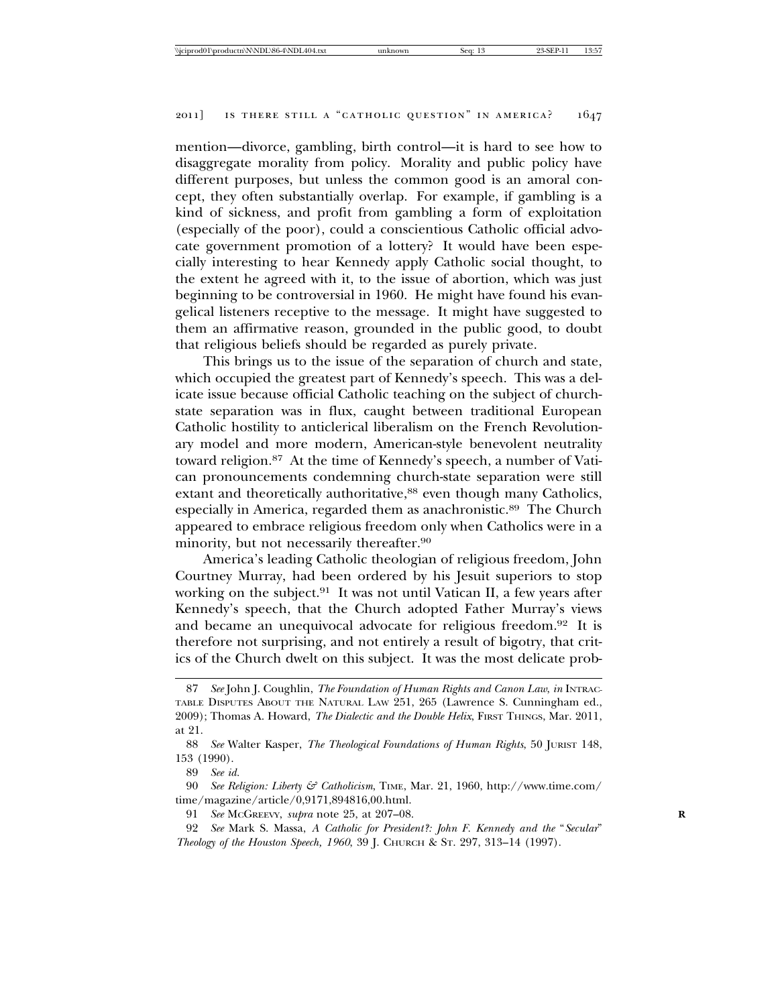mention—divorce, gambling, birth control—it is hard to see how to disaggregate morality from policy. Morality and public policy have different purposes, but unless the common good is an amoral concept, they often substantially overlap. For example, if gambling is a kind of sickness, and profit from gambling a form of exploitation (especially of the poor), could a conscientious Catholic official advocate government promotion of a lottery? It would have been especially interesting to hear Kennedy apply Catholic social thought, to the extent he agreed with it, to the issue of abortion, which was just beginning to be controversial in 1960. He might have found his evangelical listeners receptive to the message. It might have suggested to them an affirmative reason, grounded in the public good, to doubt that religious beliefs should be regarded as purely private.

This brings us to the issue of the separation of church and state, which occupied the greatest part of Kennedy's speech. This was a delicate issue because official Catholic teaching on the subject of churchstate separation was in flux, caught between traditional European Catholic hostility to anticlerical liberalism on the French Revolutionary model and more modern, American-style benevolent neutrality toward religion.87 At the time of Kennedy's speech, a number of Vatican pronouncements condemning church-state separation were still extant and theoretically authoritative,<sup>88</sup> even though many Catholics, especially in America, regarded them as anachronistic.89 The Church appeared to embrace religious freedom only when Catholics were in a minority, but not necessarily thereafter.90

America's leading Catholic theologian of religious freedom, John Courtney Murray, had been ordered by his Jesuit superiors to stop working on the subject.<sup>91</sup> It was not until Vatican II, a few years after Kennedy's speech, that the Church adopted Father Murray's views and became an unequivocal advocate for religious freedom.92 It is therefore not surprising, and not entirely a result of bigotry, that critics of the Church dwelt on this subject. It was the most delicate prob-

89 *See id.*

90 *See Religion: Liberty & Catholicism*, TIME, Mar. 21, 1960, http://www.time.com/ time/magazine/article/0,9171,894816,00.html.

91 *See* MCGREEVY, *supra* note 25, at 207–08. **R**

92 *See* Mark S. Massa, *A Catholic for President?: John F. Kennedy and the* "*Secular*" *Theology of the Houston Speech, 1960*, 39 J. CHURCH & ST. 297, 313–14 (1997).

<sup>87</sup> *See* John J. Coughlin, *The Foundation of Human Rights and Canon Law*, *in* INTRAC-TABLE DISPUTES ABOUT THE NATURAL LAW 251, 265 (Lawrence S. Cunningham ed., 2009); Thomas A. Howard, *The Dialectic and the Double Helix*, FIRST THINGS, Mar. 2011, at 21.

<sup>88</sup> *See* Walter Kasper, *The Theological Foundations of Human Rights*, 50 JURIST 148, 153 (1990).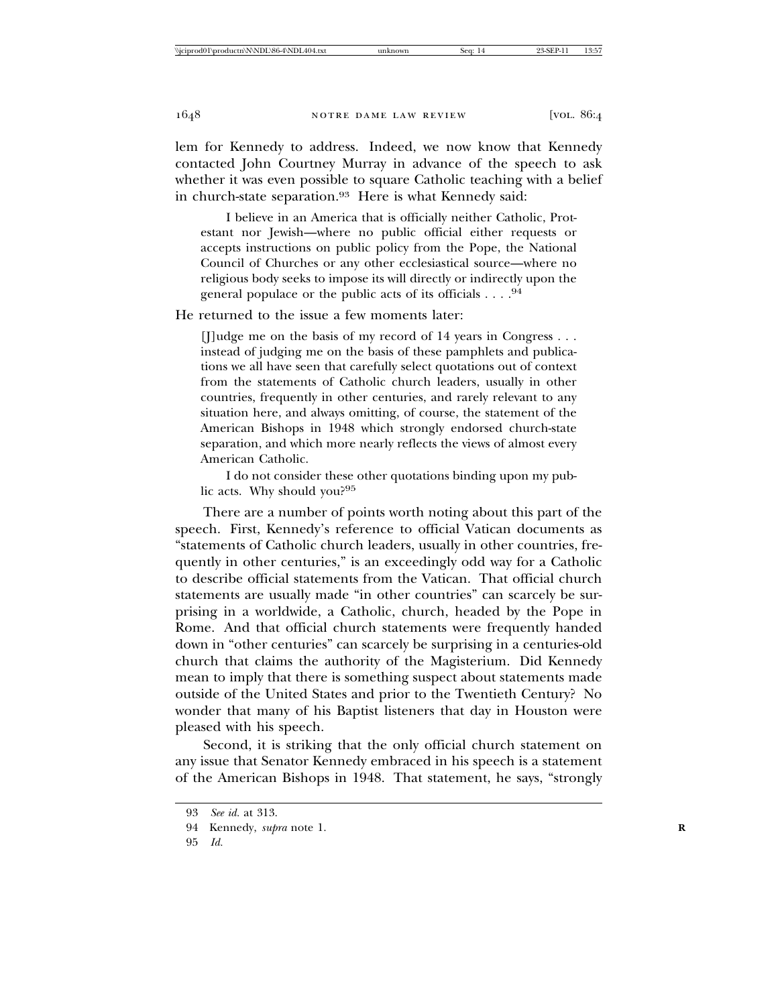lem for Kennedy to address. Indeed, we now know that Kennedy contacted John Courtney Murray in advance of the speech to ask whether it was even possible to square Catholic teaching with a belief in church-state separation.<sup>93</sup> Here is what Kennedy said:

I believe in an America that is officially neither Catholic, Protestant nor Jewish—where no public official either requests or accepts instructions on public policy from the Pope, the National Council of Churches or any other ecclesiastical source—where no religious body seeks to impose its will directly or indirectly upon the general populace or the public acts of its officials . . . .94

He returned to the issue a few moments later:

[J]udge me on the basis of my record of 14 years in Congress . . . instead of judging me on the basis of these pamphlets and publications we all have seen that carefully select quotations out of context from the statements of Catholic church leaders, usually in other countries, frequently in other centuries, and rarely relevant to any situation here, and always omitting, of course, the statement of the American Bishops in 1948 which strongly endorsed church-state separation, and which more nearly reflects the views of almost every American Catholic.

I do not consider these other quotations binding upon my public acts. Why should you?95

There are a number of points worth noting about this part of the speech. First, Kennedy's reference to official Vatican documents as "statements of Catholic church leaders, usually in other countries, frequently in other centuries," is an exceedingly odd way for a Catholic to describe official statements from the Vatican. That official church statements are usually made "in other countries" can scarcely be surprising in a worldwide, a Catholic, church, headed by the Pope in Rome. And that official church statements were frequently handed down in "other centuries" can scarcely be surprising in a centuries-old church that claims the authority of the Magisterium. Did Kennedy mean to imply that there is something suspect about statements made outside of the United States and prior to the Twentieth Century? No wonder that many of his Baptist listeners that day in Houston were pleased with his speech.

Second, it is striking that the only official church statement on any issue that Senator Kennedy embraced in his speech is a statement of the American Bishops in 1948. That statement, he says, "strongly

<sup>93</sup> *See id.* at 313.

<sup>94</sup> Kennedy, *supra* note 1. **R**

<sup>95</sup> *Id.*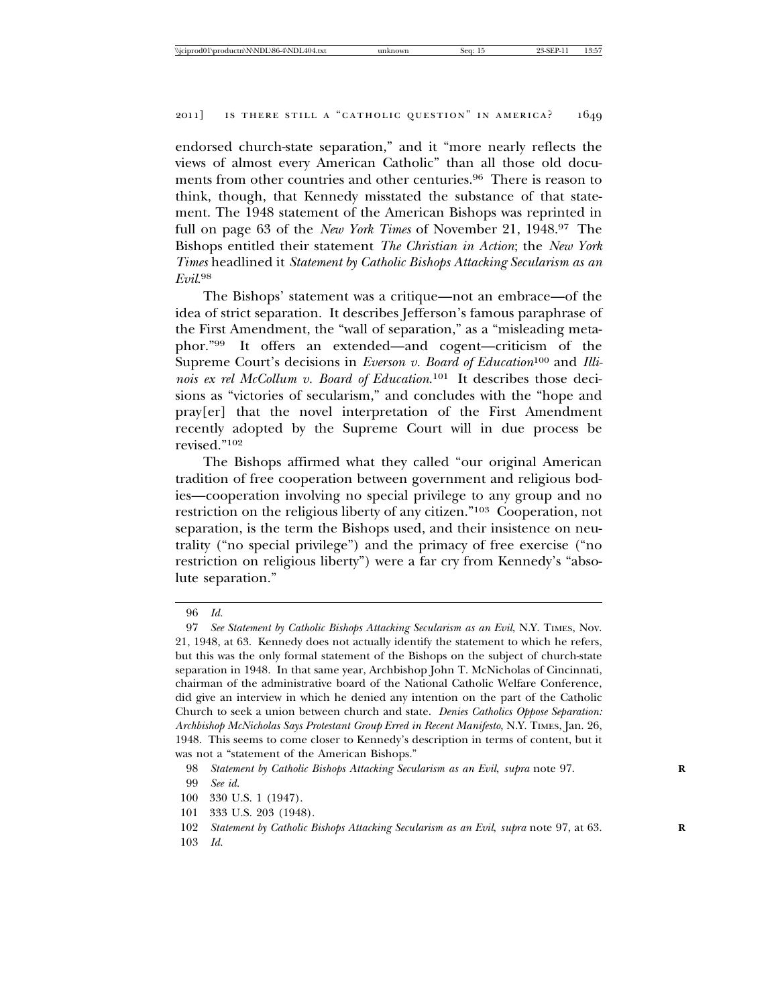endorsed church-state separation," and it "more nearly reflects the views of almost every American Catholic" than all those old documents from other countries and other centuries.<sup>96</sup> There is reason to think, though, that Kennedy misstated the substance of that statement. The 1948 statement of the American Bishops was reprinted in full on page 63 of the *New York Times* of November 21, 1948.97 The Bishops entitled their statement *The Christian in Action*; the *New York Times* headlined it *Statement by Catholic Bishops Attacking Secularism as an Evil*. 98

The Bishops' statement was a critique—not an embrace—of the idea of strict separation. It describes Jefferson's famous paraphrase of the First Amendment, the "wall of separation," as a "misleading metaphor."99 It offers an extended—and cogent—criticism of the Supreme Court's decisions in *Everson v. Board of Education*<sup>100</sup> and *Illinois ex rel McCollum v. Board of Education*. 101 It describes those decisions as "victories of secularism," and concludes with the "hope and pray[er] that the novel interpretation of the First Amendment recently adopted by the Supreme Court will in due process be revised."102

The Bishops affirmed what they called "our original American tradition of free cooperation between government and religious bodies—cooperation involving no special privilege to any group and no restriction on the religious liberty of any citizen."103 Cooperation, not separation, is the term the Bishops used, and their insistence on neutrality ("no special privilege") and the primacy of free exercise ("no restriction on religious liberty") were a far cry from Kennedy's "absolute separation."

<sup>96</sup> *Id.*

<sup>97</sup> *See Statement by Catholic Bishops Attacking Secularism as an Evil*, N.Y. TIMES, Nov. 21, 1948, at 63. Kennedy does not actually identify the statement to which he refers, but this was the only formal statement of the Bishops on the subject of church-state separation in 1948. In that same year, Archbishop John T. McNicholas of Cincinnati, chairman of the administrative board of the National Catholic Welfare Conference, did give an interview in which he denied any intention on the part of the Catholic Church to seek a union between church and state. *Denies Catholics Oppose Separation: Archbishop McNicholas Says Protestant Group Erred in Recent Manifesto*, N.Y. TIMES, Jan. 26, 1948. This seems to come closer to Kennedy's description in terms of content, but it was not a "statement of the American Bishops."

<sup>98</sup> *Statement by Catholic Bishops Attacking Secularism as an Evil*, *supra* note 97. **R**

<sup>99</sup> *See id.*

<sup>100 330</sup> U.S. 1 (1947).

<sup>101 333</sup> U.S. 203 (1948).

<sup>102</sup> *Statement by Catholic Bishops Attacking Secularism as an Evil*, *supra* note 97, at 63. **R** 103 *Id.*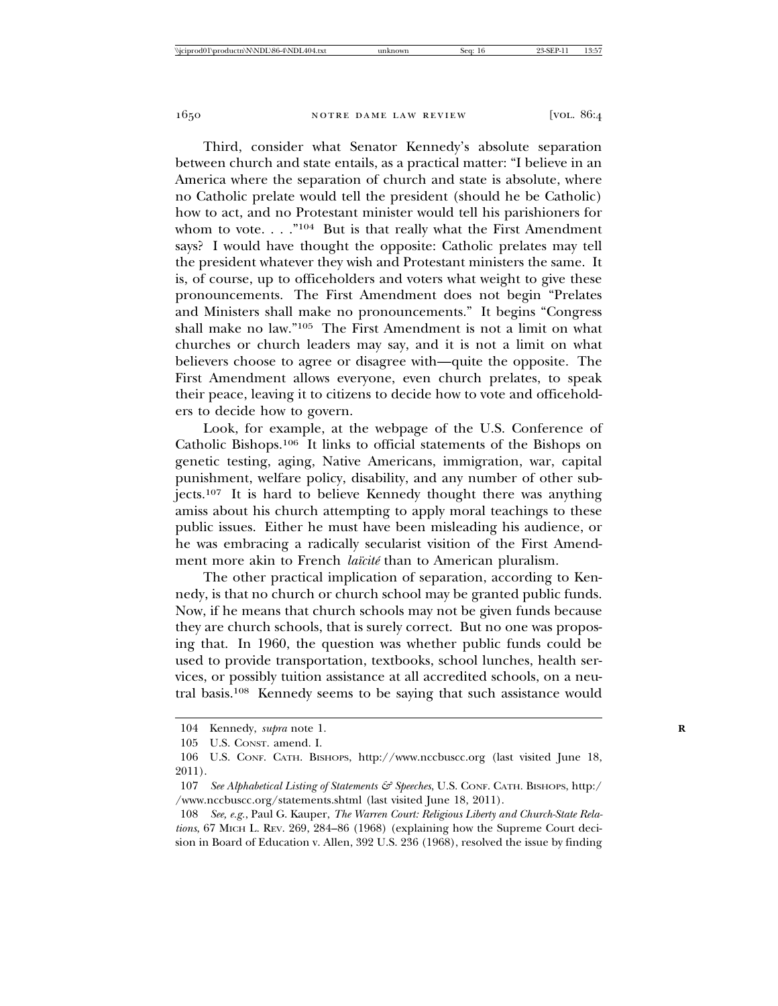Third, consider what Senator Kennedy's absolute separation between church and state entails, as a practical matter: "I believe in an America where the separation of church and state is absolute, where no Catholic prelate would tell the president (should he be Catholic) how to act, and no Protestant minister would tell his parishioners for whom to vote.  $\ldots$ ."<sup>104</sup> But is that really what the First Amendment says? I would have thought the opposite: Catholic prelates may tell the president whatever they wish and Protestant ministers the same. It is, of course, up to officeholders and voters what weight to give these pronouncements. The First Amendment does not begin "Prelates and Ministers shall make no pronouncements." It begins "Congress shall make no law."105 The First Amendment is not a limit on what churches or church leaders may say, and it is not a limit on what believers choose to agree or disagree with—quite the opposite. The First Amendment allows everyone, even church prelates, to speak their peace, leaving it to citizens to decide how to vote and officeholders to decide how to govern.

Look, for example, at the webpage of the U.S. Conference of Catholic Bishops.106 It links to official statements of the Bishops on genetic testing, aging, Native Americans, immigration, war, capital punishment, welfare policy, disability, and any number of other subjects.107 It is hard to believe Kennedy thought there was anything amiss about his church attempting to apply moral teachings to these public issues. Either he must have been misleading his audience, or he was embracing a radically secularist visition of the First Amendment more akin to French *laïcité* than to American pluralism.

The other practical implication of separation, according to Kennedy, is that no church or church school may be granted public funds. Now, if he means that church schools may not be given funds because they are church schools, that is surely correct. But no one was proposing that. In 1960, the question was whether public funds could be used to provide transportation, textbooks, school lunches, health services, or possibly tuition assistance at all accredited schools, on a neutral basis.108 Kennedy seems to be saying that such assistance would

<sup>104</sup> Kennedy, *supra* note 1.

<sup>105</sup> U.S. CONST. amend. I.

<sup>106</sup> U.S. CONF. CATH. BISHOPS, http://www.nccbuscc.org (last visited June 18, 2011).

<sup>107</sup> *See Alphabetical Listing of Statements & Speeches*, U.S. CONF. CATH. BISHOPS, http:/ /www.nccbuscc.org/statements.shtml (last visited June 18, 2011).

<sup>108</sup> *See, e.g.*, Paul G. Kauper, *The Warren Court: Religious Liberty and Church-State Relations*, 67 MICH L. REV. 269, 284–86 (1968) (explaining how the Supreme Court decision in Board of Education v. Allen, 392 U.S. 236 (1968), resolved the issue by finding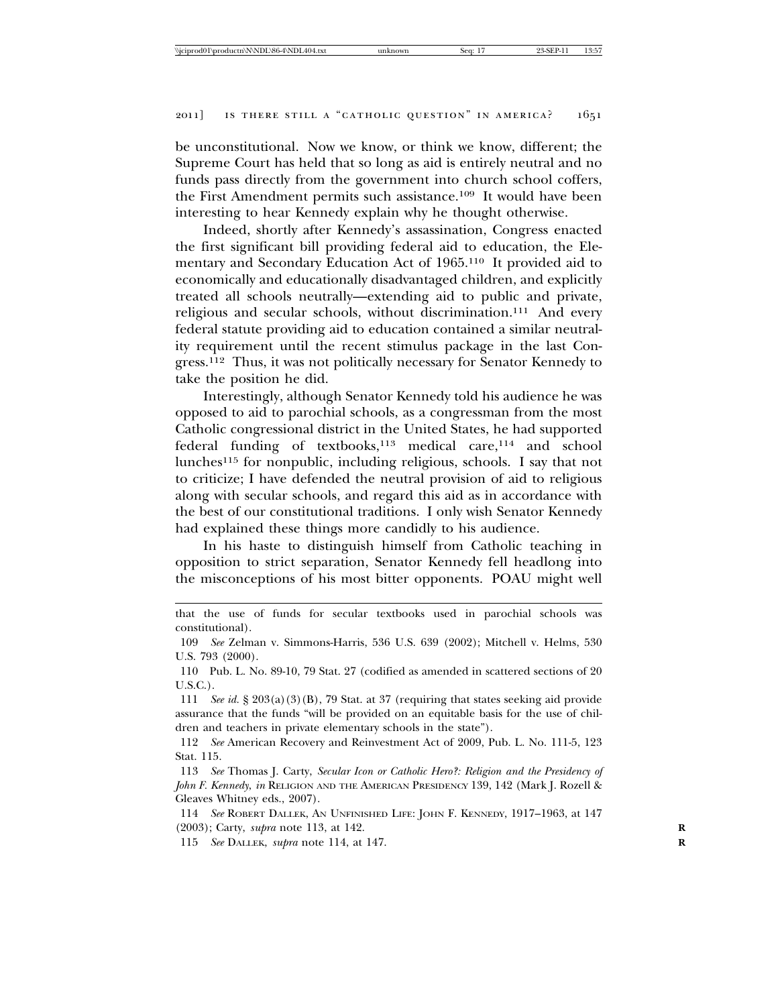be unconstitutional. Now we know, or think we know, different; the Supreme Court has held that so long as aid is entirely neutral and no funds pass directly from the government into church school coffers, the First Amendment permits such assistance.109 It would have been interesting to hear Kennedy explain why he thought otherwise.

Indeed, shortly after Kennedy's assassination, Congress enacted the first significant bill providing federal aid to education, the Elementary and Secondary Education Act of 1965.110 It provided aid to economically and educationally disadvantaged children, and explicitly treated all schools neutrally—extending aid to public and private, religious and secular schools, without discrimination.111 And every federal statute providing aid to education contained a similar neutrality requirement until the recent stimulus package in the last Congress.112 Thus, it was not politically necessary for Senator Kennedy to take the position he did.

Interestingly, although Senator Kennedy told his audience he was opposed to aid to parochial schools, as a congressman from the most Catholic congressional district in the United States, he had supported federal funding of textbooks,<sup>113</sup> medical care,<sup>114</sup> and school lunches115 for nonpublic, including religious, schools. I say that not to criticize; I have defended the neutral provision of aid to religious along with secular schools, and regard this aid as in accordance with the best of our constitutional traditions. I only wish Senator Kennedy had explained these things more candidly to his audience.

In his haste to distinguish himself from Catholic teaching in opposition to strict separation, Senator Kennedy fell headlong into the misconceptions of his most bitter opponents. POAU might well

114 *See* ROBERT DALLEK, AN UNFINISHED LIFE: JOHN F. KENNEDY, 1917–1963, at 147 (2003); Carty, *supra* note 113, at 142. **R**

115 *See* DALLEK, *supra* note 114, at 147. **R**

that the use of funds for secular textbooks used in parochial schools was constitutional).

<sup>109</sup> *See* Zelman v. Simmons-Harris, 536 U.S. 639 (2002); Mitchell v. Helms, 530 U.S. 793 (2000).

<sup>110</sup> Pub. L. No. 89-10, 79 Stat. 27 (codified as amended in scattered sections of 20 U.S.C.).

<sup>111</sup> *See id.* § 203(a)(3)(B), 79 Stat. at 37 (requiring that states seeking aid provide assurance that the funds "will be provided on an equitable basis for the use of children and teachers in private elementary schools in the state").

<sup>112</sup> *See* American Recovery and Reinvestment Act of 2009, Pub. L. No. 111-5, 123 Stat. 115.

<sup>113</sup> *See* Thomas J. Carty, *Secular Icon or Catholic Hero?: Religion and the Presidency of John F. Kennedy*, *in* RELIGION AND THE AMERICAN PRESIDENCY 139, 142 (Mark J. Rozell & Gleaves Whitney eds., 2007).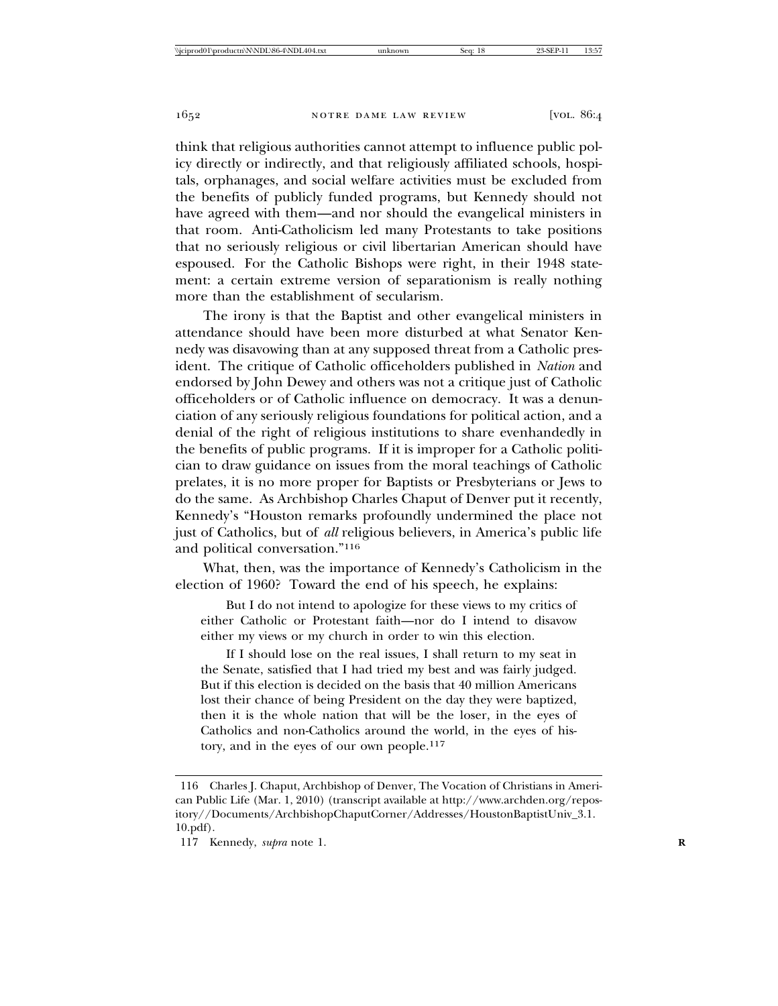think that religious authorities cannot attempt to influence public policy directly or indirectly, and that religiously affiliated schools, hospitals, orphanages, and social welfare activities must be excluded from the benefits of publicly funded programs, but Kennedy should not have agreed with them—and nor should the evangelical ministers in that room. Anti-Catholicism led many Protestants to take positions that no seriously religious or civil libertarian American should have espoused. For the Catholic Bishops were right, in their 1948 statement: a certain extreme version of separationism is really nothing more than the establishment of secularism.

The irony is that the Baptist and other evangelical ministers in attendance should have been more disturbed at what Senator Kennedy was disavowing than at any supposed threat from a Catholic president. The critique of Catholic officeholders published in *Nation* and endorsed by John Dewey and others was not a critique just of Catholic officeholders or of Catholic influence on democracy. It was a denunciation of any seriously religious foundations for political action, and a denial of the right of religious institutions to share evenhandedly in the benefits of public programs. If it is improper for a Catholic politician to draw guidance on issues from the moral teachings of Catholic prelates, it is no more proper for Baptists or Presbyterians or Jews to do the same. As Archbishop Charles Chaput of Denver put it recently, Kennedy's "Houston remarks profoundly undermined the place not just of Catholics, but of *all* religious believers, in America's public life and political conversation."116

What, then, was the importance of Kennedy's Catholicism in the election of 1960? Toward the end of his speech, he explains:

But I do not intend to apologize for these views to my critics of either Catholic or Protestant faith—nor do I intend to disavow either my views or my church in order to win this election.

If I should lose on the real issues, I shall return to my seat in the Senate, satisfied that I had tried my best and was fairly judged. But if this election is decided on the basis that 40 million Americans lost their chance of being President on the day they were baptized, then it is the whole nation that will be the loser, in the eyes of Catholics and non-Catholics around the world, in the eyes of history, and in the eyes of our own people.117

<sup>116</sup> Charles J. Chaput, Archbishop of Denver, The Vocation of Christians in American Public Life (Mar. 1, 2010) (transcript available at http://www.archden.org/repository//Documents/ArchbishopChaputCorner/Addresses/HoustonBaptistUniv\_3.1. 10.pdf).

<sup>117</sup> Kennedy, *supra* note 1. **R**